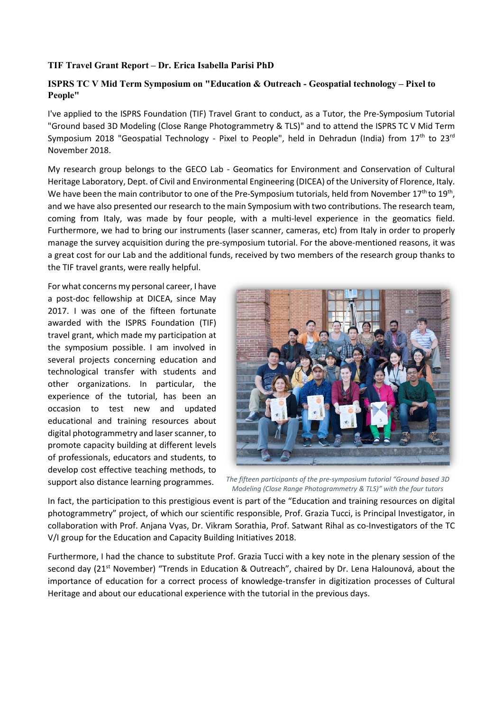## **TIF Travel Grant Report – Dr. Erica Isabella Parisi PhD**

## **ISPRS TC V Mid Term Symposium on "Education & Outreach - Geospatial technology – Pixel to People"**

I've applied to the ISPRS Foundation (TIF) Travel Grant to conduct, as a Tutor, the Pre-Symposium Tutorial "Ground based 3D Modeling (Close Range Photogrammetry & TLS)" and to attend the ISPRS TC V Mid Term Symposium 2018 "Geospatial Technology - Pixel to People", held in Dehradun (India) from  $17<sup>th</sup>$  to  $23<sup>rd</sup>$ November 2018.

My research group belongs to the GECO Lab - Geomatics for Environment and Conservation of Cultural Heritage Laboratory, Dept. of Civil and Environmental Engineering (DICEA) of the University of Florence, Italy. We have been the main contributor to one of the Pre-Symposium tutorials, held from November 17<sup>th</sup> to 19<sup>th</sup>, and we have also presented our research to the main Symposium with two contributions. The research team, coming from Italy, was made by four people, with a multi-level experience in the geomatics field. Furthermore, we had to bring our instruments (laser scanner, cameras, etc) from Italy in order to properly manage the survey acquisition during the pre-symposium tutorial. For the above-mentioned reasons, it was a great cost for our Lab and the additional funds, received by two members of the research group thanks to the TIF travel grants, were really helpful.

For what concerns my personal career, I have a post-doc fellowship at DICEA, since May 2017. I was one of the fifteen fortunate awarded with the ISPRS Foundation (TIF) travel grant, which made my participation at the symposium possible. I am involved in several projects concerning education and technological transfer with students and other organizations. In particular, the experience of the tutorial, has been an occasion to test new and updated educational and training resources about digital photogrammetry and laser scanner, to promote capacity building at different levels of professionals, educators and students, to develop cost effective teaching methods, to support also distance learning programmes.



*The fifteen participants of the pre-symposium tutorial "Ground based 3D Modeling (Close Range Photogrammetry & TLS)" with the four tutors*

In fact, the participation to this prestigious event is part of the "Education and training resources on digital photogrammetry" project, of which our scientific responsible, Prof. Grazia Tucci, is Principal Investigator, in collaboration with Prof. Anjana Vyas, Dr. Vikram Sorathia, Prof. Satwant Rihal as co-Investigators of the TC V/I group for the Education and Capacity Building Initiatives 2018.

Furthermore, I had the chance to substitute Prof. Grazia Tucci with a key note in the plenary session of the second day (21<sup>st</sup> November) "Trends in Education & Outreach", chaired by Dr. Lena Halounová, about the importance of education for a correct process of knowledge-transfer in digitization processes of Cultural Heritage and about our educational experience with the tutorial in the previous days.